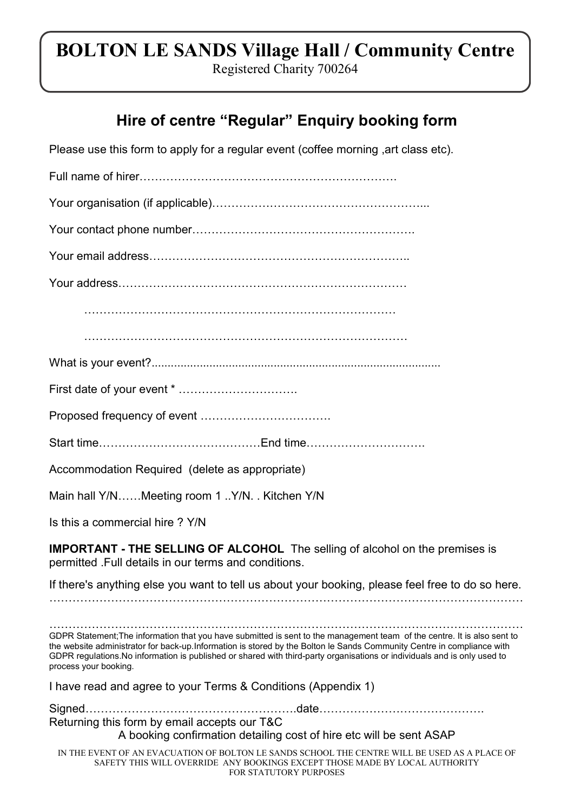## BOLTON LE SANDS Village Hall / Community Centre

Registered Charity 700264

## Hire of centre "Regular" Enquiry booking form

| Please use this form to apply for a regular event (coffee morning , art class etc).                                                                                                                                                                                                                                                                                                                     |
|---------------------------------------------------------------------------------------------------------------------------------------------------------------------------------------------------------------------------------------------------------------------------------------------------------------------------------------------------------------------------------------------------------|
|                                                                                                                                                                                                                                                                                                                                                                                                         |
|                                                                                                                                                                                                                                                                                                                                                                                                         |
|                                                                                                                                                                                                                                                                                                                                                                                                         |
|                                                                                                                                                                                                                                                                                                                                                                                                         |
|                                                                                                                                                                                                                                                                                                                                                                                                         |
|                                                                                                                                                                                                                                                                                                                                                                                                         |
|                                                                                                                                                                                                                                                                                                                                                                                                         |
|                                                                                                                                                                                                                                                                                                                                                                                                         |
|                                                                                                                                                                                                                                                                                                                                                                                                         |
|                                                                                                                                                                                                                                                                                                                                                                                                         |
|                                                                                                                                                                                                                                                                                                                                                                                                         |
| Accommodation Required (delete as appropriate)                                                                                                                                                                                                                                                                                                                                                          |
| Main hall Y/NMeeting room 1Y/N. Kitchen Y/N                                                                                                                                                                                                                                                                                                                                                             |
| Is this a commercial hire ? Y/N                                                                                                                                                                                                                                                                                                                                                                         |
| <b>IMPORTANT - THE SELLING OF ALCOHOL</b> The selling of alcohol on the premises is<br>permitted . Full details in our terms and conditions.                                                                                                                                                                                                                                                            |
| If there's anything else you want to tell us about your booking, please feel free to do so here.                                                                                                                                                                                                                                                                                                        |
|                                                                                                                                                                                                                                                                                                                                                                                                         |
| GDPR Statement; The information that you have submitted is sent to the management team of the centre. It is also sent to<br>the website administrator for back-up.Information is stored by the Bolton le Sands Community Centre in compliance with<br>GDPR regulations.No information is published or shared with third-party organisations or individuals and is only used to<br>process your booking. |
| I have read and agree to your Terms & Conditions (Appendix 1)                                                                                                                                                                                                                                                                                                                                           |
| Returning this form by email accepts our T&C<br>A booking confirmation detailing cost of hire etc will be sent ASAP                                                                                                                                                                                                                                                                                     |
| IN THE EVENT OF AN EVACUATION OF BOLTON LE SANDS SCHOOL THE CENTRE WILL BE USED AS A PLACE OF<br>SAFETY THIS WILL OVERRIDE ANY BOOKINGS EXCEPT THOSE MADE BY LOCAL AUTHORITY<br>FOR STATUTORY PURPOSES                                                                                                                                                                                                  |